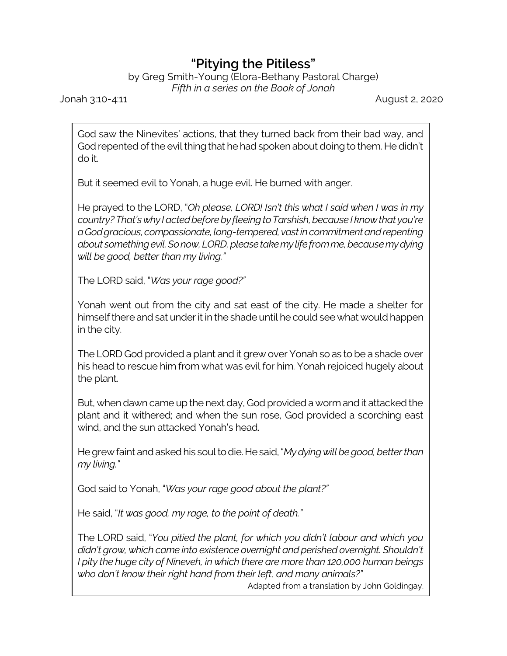## **"Pitying the Pitiless"**

by Greg Smith-Young (Elora-Bethany Pastoral Charge) *Fifth in a series on the Book of Jonah*

Jonah 3:10-4:11 August 2, 2020

God saw the Ninevites' actions, that they turned back from their bad way, and God repented of the evil thing that he had spoken about doing to them. He didn't do it.

But it seemed evil to Yonah, a huge evil. He burned with anger.

He prayed to the LORD, "*Oh please, LORD! Isn't this what I said when I was in my country?That'swhy Iactedbeforeby fleeingtoTarshish,because I knowthat you're aGodgracious,compassionate,long-tempered, vastincommitmentandrepenting about somethingevil.Sonow,LORD,pleasetakemy lifefromme,becausemydying will be good, better than my living."*

The LORD said, "*Was your rage good?"*

Yonah went out from the city and sat east of the city. He made a shelter for himself there and sat under it in the shade until he could see what would happen in the city.

The LORD God provided a plant and it grew over Yonah so as to be a shade over his head to rescue him from what was evil for him. Yonah rejoiced hugely about the plant.

But, when dawn came up the next day, God provided a wormand it attacked the plant and it withered; and when the sun rose, God provided a scorching east wind, and the sun attacked Yonah's head.

Hegrew faint andaskedhis soultodie. Hesaid,"*Mydyingwillbegood, betterthan my living."*

God said to Yonah, "*Was your rage good about the plant?"*

He said, "*It was good, my rage, to the point of death."*

The LORD said, "*You pitied the plant, for which you didn't labour and which you didn't grow, which came into existence overnight and perished overnight. Shouldn't I pity the huge city of Nineveh, in which there are more than 120,000 human beings who don't know their right hand from their left, and many animals?"*

Adapted from a translation by John Goldingay.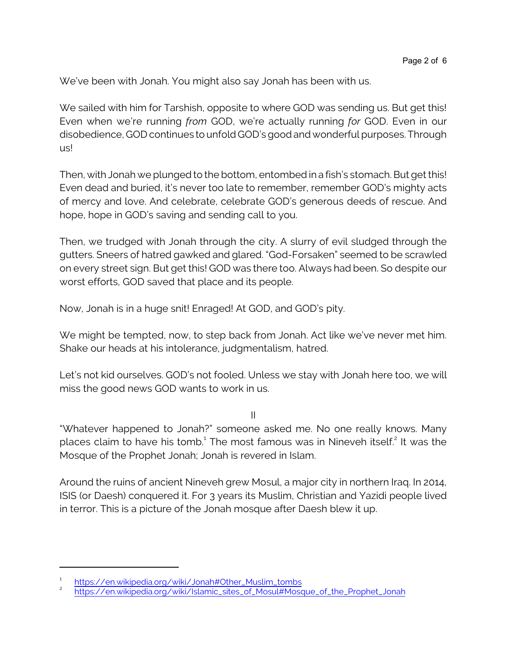We've been with Jonah. You might also say Jonah has been with us.

We sailed with him for Tarshish, opposite to where GOD was sending us. But get this! Even when we're running *from* GOD, we're actually running *for* GOD. Even in our disobedience, GOD continues to unfold GOD's goodand wonderful purposes. Through us!

Then, with Jonah we plunged to the bottom, entombed in a fish's stomach. But get this! Even dead and buried, it's never too late to remember, remember GOD's mighty acts of mercy and love. And celebrate, celebrate GOD's generous deeds of rescue. And hope, hope in GOD's saving and sending call to you.

Then, we trudged with Jonah through the city. A slurry of evil sludged through the gutters. Sneers of hatred gawked and glared. "God-Forsaken" seemed to be scrawled on every street sign. But get this! GOD was there too. Always had been. So despite our worst efforts, GOD saved that place and its people.

Now, Jonah is in a huge snit! Enraged! At GOD, and GOD's pity.

We might be tempted, now, to step back from Jonah. Act like we've never met him. Shake our heads at his intolerance, judgmentalism, hatred.

Let's not kid ourselves. GOD's not fooled. Unless we stay with Jonah here too, we will miss the good news GOD wants to work in us.

II

"Whatever happened to Jonah?" someone asked me. No one really knows. Many places claim to have his tomb. $^{\rm 1}$  The most famous was in Nineveh itself. $^{\rm 2}$  It was the Mosque of the Prophet Jonah; Jonah is revered in Islam.

Around the ruins of ancient Nineveh grew Mosul, a major city in northern Iraq. In 2014, ISIS (or Daesh) conquered it. For 3 years its Muslim, Christian and Yazidi people lived in terror. This is a picture of the Jonah mosque after Daesh blew it up.

<sup>1</sup> [https://en.wikipedia.org/wiki/Jonah#Other\\_Muslim\\_tombs](https://en.wikipedia.org/wiki/Jonah#Other_Muslim_tombs)

<sup>2</sup> [https://en.wikipedia.org/wiki/Islamic\\_sites\\_of\\_Mosul#Mosque\\_of\\_the\\_Prophet\\_Jonah](https://en.wikipedia.org/wiki/Islamic_sites_of_Mosul#Mosque_of_the_Prophet_Jonah)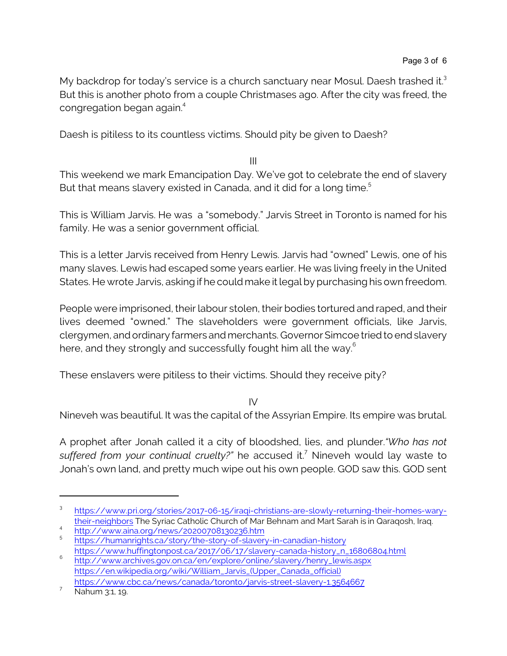My backdrop for today's service is a church sanctuary near Mosul. Daesh trashed it.<sup>3</sup> But this is another photo from a couple Christmases ago. After the city was freed, the congregation began again.<sup>4</sup>

Daesh is pitiless to its countless victims. Should pity be given to Daesh?

III

This weekend we mark Emancipation Day. We've got to celebrate the end of slavery But that means slavery existed in Canada, and it did for a long time.<sup>5</sup>

This is William Jarvis. He was a "somebody." Jarvis Street in Toronto is named for his family. He was a senior government official.

This is a letter Jarvis received from Henry Lewis. Jarvis had "owned" Lewis, one of his many slaves. Lewis had escaped some years earlier. He was living freely in the United States. He wrote Jarvis, asking if he could make it legal by purchasing his own freedom.

People were imprisoned, their labour stolen, their bodies tortured and raped, and their lives deemed "owned." The slaveholders were government officials, like Jarvis, clergymen, and ordinary farmers and merchants. Governor Simcoe tried to end slavery here, and they strongly and successfully fought him all the way. $^{\rm 6}$ 

These enslavers were pitiless to their victims. Should they receive pity?

IV

Nineveh was beautiful. It was the capital of the Assyrian Empire. Its empire was brutal.

A prophet after Jonah called it a city of bloodshed, lies, and plunder.*"Who has not suffered from your continual cruelty?"* he accused it. <sup>7</sup> Nineveh would lay waste to Jonah's own land, and pretty much wipe out his own people. GOD saw this. GOD sent

<sup>3</sup> [https://www.pri.org/stories/2017-06-15/iraqi-christians-are-slowly-returning-their-homes-wary](https://www.pri.org/stories/2017-06-15/iraqi-christians-are-slowly-returning-their-homes-wary-their-neighbors)[their-neighbors](https://www.pri.org/stories/2017-06-15/iraqi-christians-are-slowly-returning-their-homes-wary-their-neighbors) The Syriac Catholic Church of Mar Behnam and Mart Sarah is in Qaraqosh, Iraq.

<sup>4</sup> <http://www.aina.org/news/20200708130236.htm> <sup>5</sup>

<https://humanrights.ca/story/the-story-of-slavery-in-canadian-history>

[https://www.huffingtonpost.ca/2017/06/17/slavery-canada-history\\_n\\_16806804.html](https://www.huffingtonpost.ca/2017/06/17/slavery-canada-history_n_16806804.html) 6 [http://www.archives.gov.on.ca/en/explore/online/slavery/henry\\_lewis.aspx](http://www.archives.gov.on.ca/en/explore/online/slavery/henry_lewis.aspx)

[https://en.wikipedia.org/wiki/William\\_Jarvis\\_\(Upper\\_Canada\\_official\)](https://en.wikipedia.org/wiki/William_Jarvis_(Upper_Canada_official)) <https://www.cbc.ca/news/canada/toronto/jarvis-street-slavery-1.3564667>

<sup>&</sup>lt;sup>7</sup> Nahum 3:1, 19.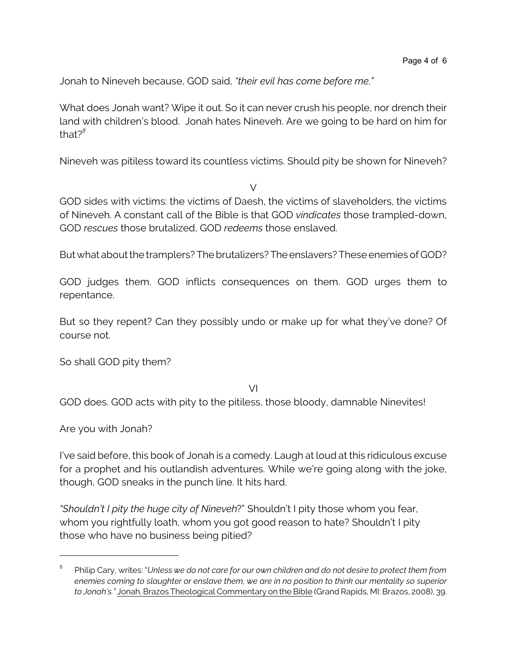Jonah to Nineveh because, GOD said, *"their evil has come before me."*

What does Jonah want? Wipe it out. So it can never crush his people, nor drench their land with children's blood. Jonah hates Nineveh. Are we going to be hard on him for that?*<sup>8</sup>*

Nineveh was pitiless toward its countless victims. Should pity be shown for Nineveh?

 $\sqrt{}$ 

GOD sides with victims: the victims of Daesh, the victims of slaveholders, the victims of Nineveh. A constant call of the Bible is that GOD *vindicates* those trampled-down, GOD *rescues* those brutalized, GOD *redeems* those enslaved.

But what about the tramplers? The brutalizers? The enslavers? These enemies of GOD?

GOD judges them. GOD inflicts consequences on them. GOD urges them to repentance.

But so they repent? Can they possibly undo or make up for what they've done? Of course not.

So shall GOD pity them?

VI

GOD does. GOD acts with pity to the pitiless, those bloody, damnable Ninevites!

Are you with Jonah?

I've said before, this book of Jonah is a comedy. Laugh at loud at this ridiculous excuse for a prophet and his outlandish adventures. While we're going along with the joke, though, GOD sneaks in the punch line. It hits hard.

*"Shouldn't I pity the huge city of Nineveh*?" Shouldn't I pity those whom you fear, whom you rightfully loath, whom you got good reason to hate? Shouldn't I pity those who have no business being pitied?

<sup>8</sup> Philip Cary, writes: "*Unless we do not care for our own children and do not desire to protect them from enemies coming to slaughter or enslave them, we are in no position to think our mentality so superior to Jonah's."* Jonah. Brazos Theological Commentary on the Bible (Grand Rapids, MI: Brazos, 2008), 39.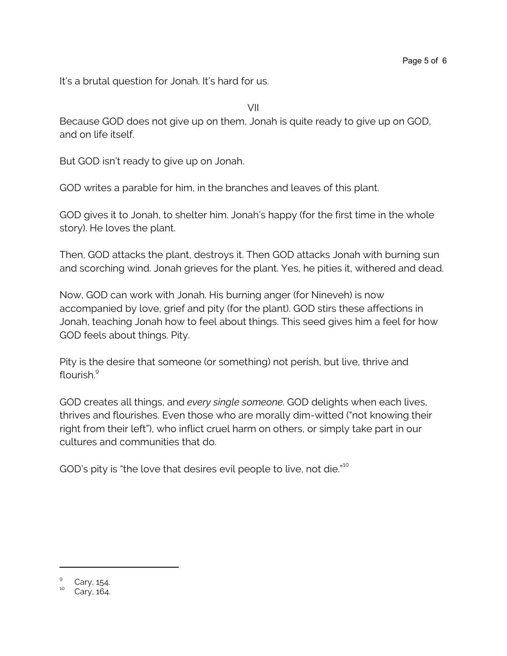It's a brutal question for Jonah. It's hard for us.

VII

Because GOD does not give up on them, Jonah is quite ready to give up on GOD, and on life itself.

But GOD isn't ready to give up on Jonah.

GOD writes a parable for him, in the branches and leaves of this plant.

GOD gives it to Jonah, to shelter him. Jonah's happy (for the first time in the whole story). He loves the plant.

Then, GOD attacks the plant, destroys it. Then GOD attacks Jonah with burning sun and scorching wind. Jonah grieves for the plant. Yes, he pities it, withered and dead.

Now, GOD can work with Jonah. His burning anger (for Nineveh) is now accompanied by love, grief and pity (for the plant). GOD stirs these affections in Jonah, teaching Jonah how to feel about things. This seed gives him a feel for how GOD feels about things. Pity.

Pity is the desire that someone (or something) not perish, but live, thrive and flourish.<sup>9</sup>

GOD creates all things, and *every single someone*. GOD delights when each lives, thrives and flourishes. Even those who are morally dim-witted ("not knowing their right from their left"), who inflict cruel harm on others, or simply take part in our cultures and communities that do.

GOD's pity is "the love that desires evil people to live, not die."<sup>10</sup>

<sup>9</sup> Cary, 154.

Cary, 164.